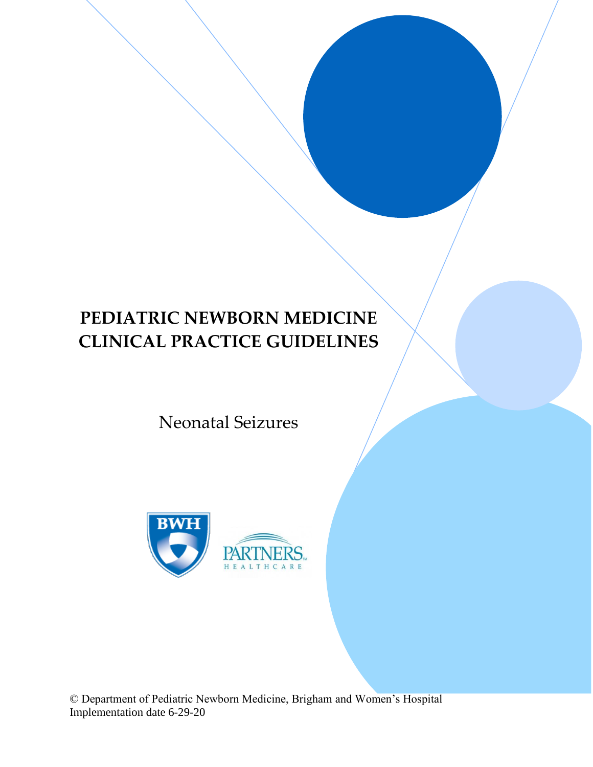# **PEDIATRIC NEWBORN MEDICINE CLINICAL PRACTICE GUIDELINES**

## Neonatal Seizures



© Department of Pediatric Newborn Medicine, Brigham and Women's Hospital Implementation date 6-29-20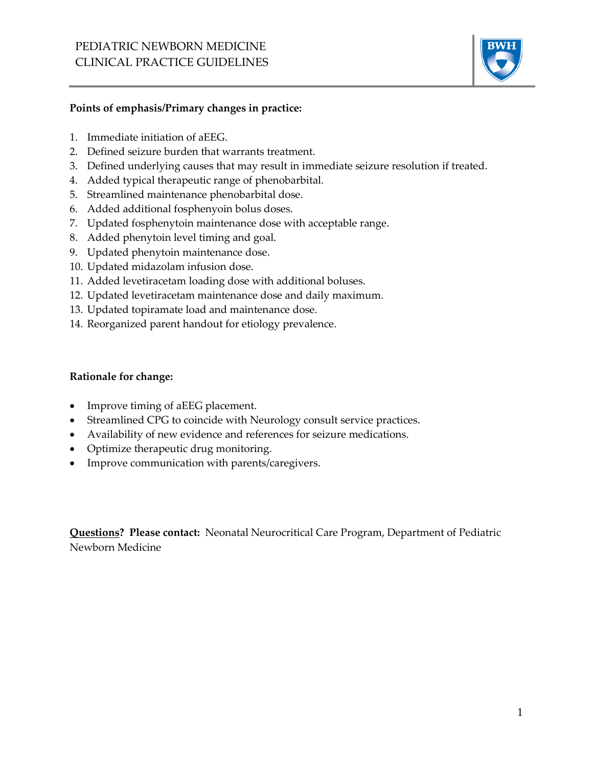

#### **Points of emphasis/Primary changes in practice:**

- 1. Immediate initiation of aEEG.
- 2. Defined seizure burden that warrants treatment.
- 3. Defined underlying causes that may result in immediate seizure resolution if treated.
- 4. Added typical therapeutic range of phenobarbital.
- 5. Streamlined maintenance phenobarbital dose.
- 6. Added additional fosphenyoin bolus doses.
- 7. Updated fosphenytoin maintenance dose with acceptable range.
- 8. Added phenytoin level timing and goal.
- 9. Updated phenytoin maintenance dose.
- 10. Updated midazolam infusion dose.
- 11. Added levetiracetam loading dose with additional boluses.
- 12. Updated levetiracetam maintenance dose and daily maximum.
- 13. Updated topiramate load and maintenance dose.
- 14. Reorganized parent handout for etiology prevalence.

#### **Rationale for change:**

- Improve timing of aEEG placement.
- Streamlined CPG to coincide with Neurology consult service practices.
- Availability of new evidence and references for seizure medications.
- Optimize therapeutic drug monitoring.
- Improve communication with parents/caregivers.

**Questions? Please contact:** Neonatal Neurocritical Care Program, Department of Pediatric Newborn Medicine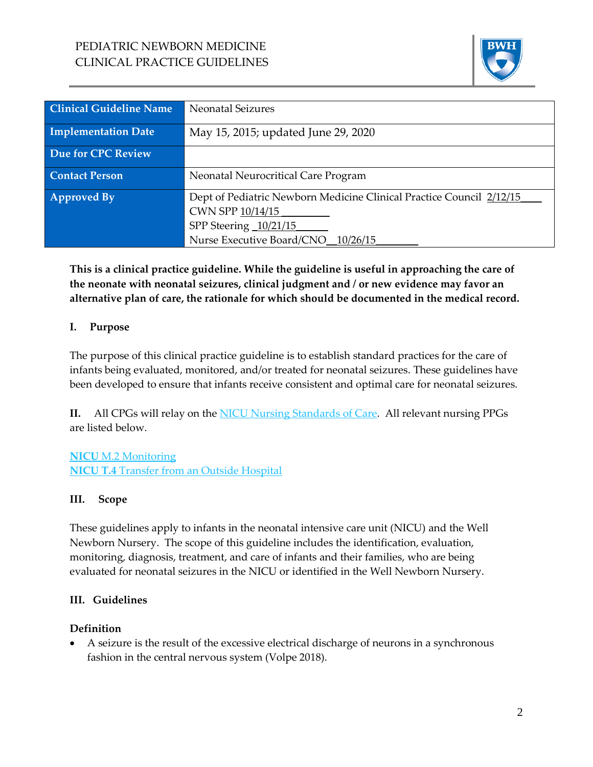

| <b>Clinical Guideline Name</b> | <b>Neonatal Seizures</b>                                                                                                                                |
|--------------------------------|---------------------------------------------------------------------------------------------------------------------------------------------------------|
| <b>Implementation Date</b>     | May 15, 2015; updated June 29, 2020                                                                                                                     |
| Due for CPC Review             |                                                                                                                                                         |
| <b>Contact Person</b>          | Neonatal Neurocritical Care Program                                                                                                                     |
| Approved By                    | Dept of Pediatric Newborn Medicine Clinical Practice Council 2/12/15<br>CWN SPP 10/14/15<br>SPP Steering 10/21/15<br>Nurse Executive Board/CNO 10/26/15 |

**This is a clinical practice guideline. While the guideline is useful in approaching the care of the neonate with neonatal seizures, clinical judgment and / or new evidence may favor an alternative plan of care, the rationale for which should be documented in the medical record.**

## **I. Purpose**

The purpose of this clinical practice guideline is to establish standard practices for the care of infants being evaluated, monitored, and/or treated for neonatal seizures. These guidelines have been developed to ensure that infants receive consistent and optimal care for neonatal seizures.

**II.** All CPGs will relay on the [NICU Nursing Standards of Care.](http://www.bwhpikenotes.org/policies/Nursing/CWN_Clinical_Practice_Manual/NICU/NICU_Standards.pdf) All relevant nursing PPGs are listed below.

**NICU** [M.2 Monitoring](http://www.bwhpikenotes.org/policies/Nursing/CWN_Clinical_Practice_Manual/NICU/NICU_M.2.pdf) **NICU T.4** [Transfer from an Outside Hospital](http://www.bwhpikenotes.org/policies/Nursing/CWN_Clinical_Practice_Manual/NICU/NICU_T.4.pdf)

## **III. Scope**

These guidelines apply to infants in the neonatal intensive care unit (NICU) and the Well Newborn Nursery. The scope of this guideline includes the identification, evaluation, monitoring, diagnosis, treatment, and care of infants and their families, who are being evaluated for neonatal seizures in the NICU or identified in the Well Newborn Nursery.

## **III. Guidelines**

## **Definition**

• A seizure is the result of the excessive electrical discharge of neurons in a synchronous fashion in the central nervous system (Volpe 2018).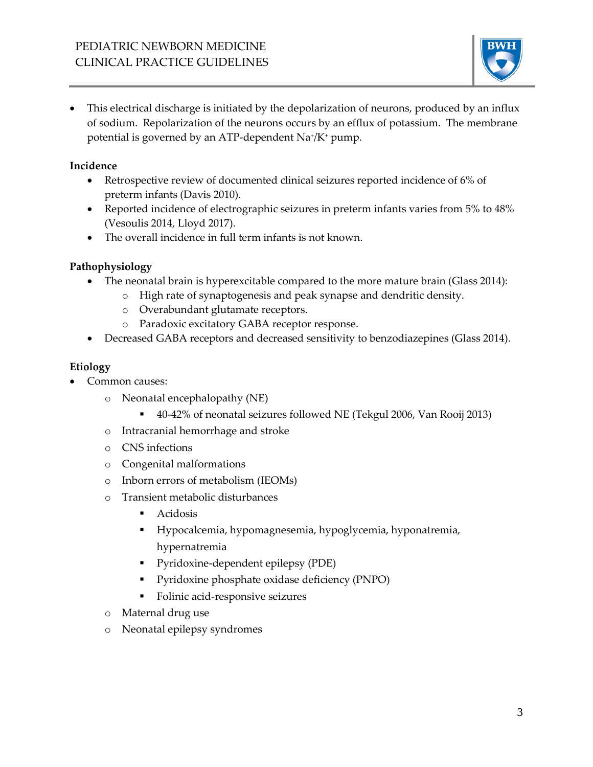

• This electrical discharge is initiated by the depolarization of neurons, produced by an influx of sodium. Repolarization of the neurons occurs by an efflux of potassium. The membrane potential is governed by an ATP-dependent Na<sup>+</sup> /K<sup>+</sup> pump.

## **Incidence**

- Retrospective review of documented clinical seizures reported incidence of 6% of preterm infants (Davis 2010).
- Reported incidence of electrographic seizures in preterm infants varies from 5% to 48% (Vesoulis 2014, Lloyd 2017).
- The overall incidence in full term infants is not known.

## **Pathophysiology**

- The neonatal brain is hyperexcitable compared to the more mature brain (Glass 2014):
	- o High rate of synaptogenesis and peak synapse and dendritic density.
	- o Overabundant glutamate receptors.
	- o Paradoxic excitatory GABA receptor response.
- Decreased GABA receptors and decreased sensitivity to benzodiazepines (Glass 2014).

## **Etiology**

- Common causes:
	- o Neonatal encephalopathy (NE)
		- 40-42% of neonatal seizures followed NE (Tekgul 2006, Van Rooij 2013)
	- o Intracranial hemorrhage and stroke
	- o CNS infections
	- o Congenital malformations
	- o Inborn errors of metabolism (IEOMs)
	- o Transient metabolic disturbances
		- Acidosis
		- Hypocalcemia, hypomagnesemia, hypoglycemia, hyponatremia, hypernatremia
		- Pyridoxine-dependent epilepsy (PDE)
		- Pyridoxine phosphate oxidase deficiency (PNPO)
		- Folinic acid-responsive seizures
	- o Maternal drug use
	- o Neonatal epilepsy syndromes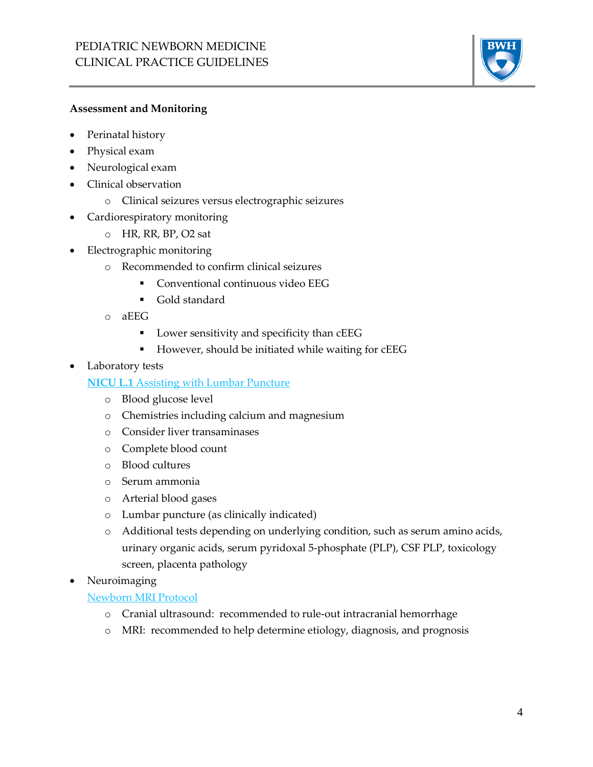

#### **Assessment and Monitoring**

- Perinatal history
- Physical exam
- Neurological exam
- Clinical observation
	- o Clinical seizures versus electrographic seizures
- Cardiorespiratory monitoring
	- o HR, RR, BP, O2 sat
- Electrographic monitoring
	- o Recommended to confirm clinical seizures
		- **•** Conventional continuous video EEG
		- Gold standard
	- o aEEG
		- **•** Lower sensitivity and specificity than cEEG
		- However, should be initiated while waiting for cEEG
- Laboratory tests

**NICU L.1** [Assisting with Lumbar Puncture](http://www.bwhpikenotes.org/policies/Nursing/CWN_Clinical_Practice_Manual/NICU/NICU_L.1.pdf)

- o Blood glucose level
- o Chemistries including calcium and magnesium
- o Consider liver transaminases
- o Complete blood count
- o Blood cultures
- o Serum ammonia
- o Arterial blood gases
- o Lumbar puncture (as clinically indicated)
- o Additional tests depending on underlying condition, such as serum amino acids, urinary organic acids, serum pyridoxal 5-phosphate (PLP), CSF PLP, toxicology screen, placenta pathology
- Neuroimaging

#### [Newborn MRI Protocol](http://www.bwhpikenotes.org/policies/departments/NICU/documents/NICUBWHMRIGuidelines.pdf)

- o Cranial ultrasound: recommended to rule-out intracranial hemorrhage
- o MRI: recommended to help determine etiology, diagnosis, and prognosis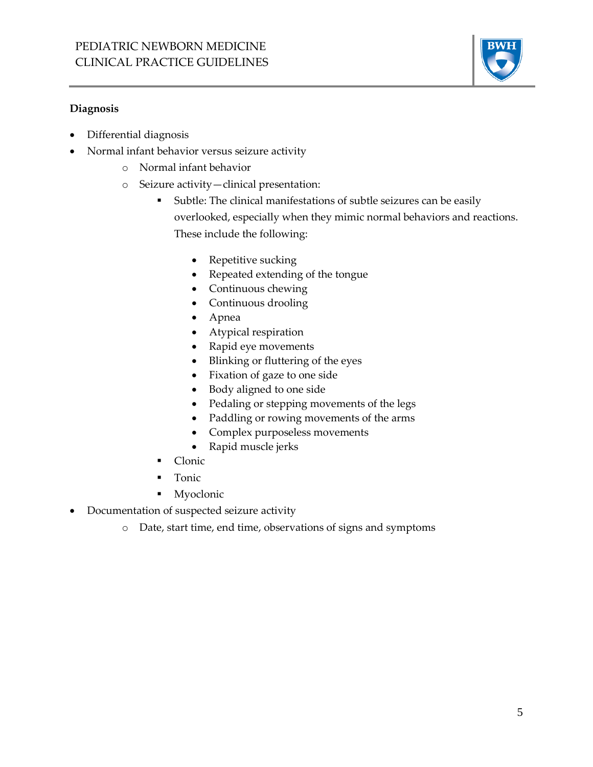

#### **Diagnosis**

- Differential diagnosis
- Normal infant behavior versus seizure activity
	- o Normal infant behavior
	- o Seizure activity—clinical presentation:
		- Subtle: The clinical manifestations of subtle seizures can be easily overlooked, especially when they mimic normal behaviors and reactions. These include the following:
			- Repetitive sucking
			- Repeated extending of the tongue
			- Continuous chewing
			- Continuous drooling
			- Apnea
			- Atypical respiration
			- Rapid eye movements
			- Blinking or fluttering of the eyes
			- Fixation of gaze to one side
			- Body aligned to one side
			- Pedaling or stepping movements of the legs
			- Paddling or rowing movements of the arms
			- Complex purposeless movements
			- Rapid muscle jerks
		- Clonic
		- **Tonic**
		- Myoclonic
- Documentation of suspected seizure activity
	- o Date, start time, end time, observations of signs and symptoms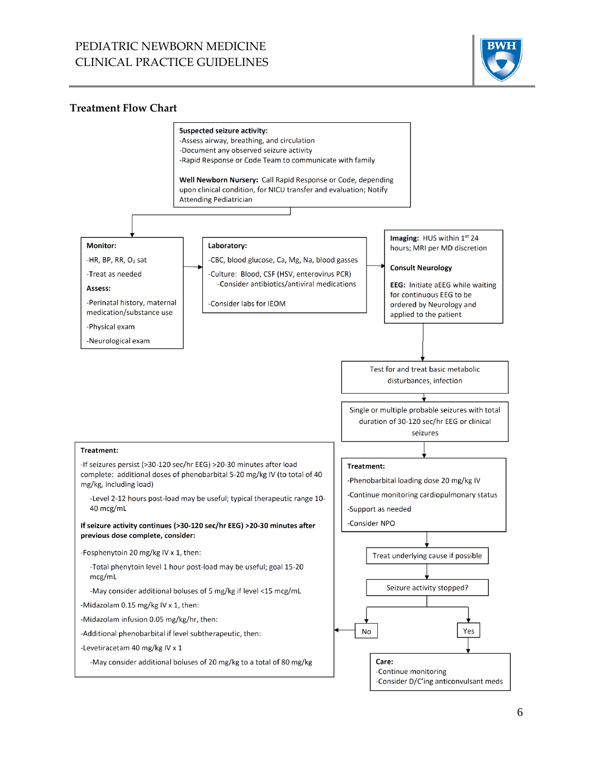## PEDIATRIC NEWBORN MEDICINE CLINICAL PRACTICE GUIDELINES



#### **Treatment Flow Chart**

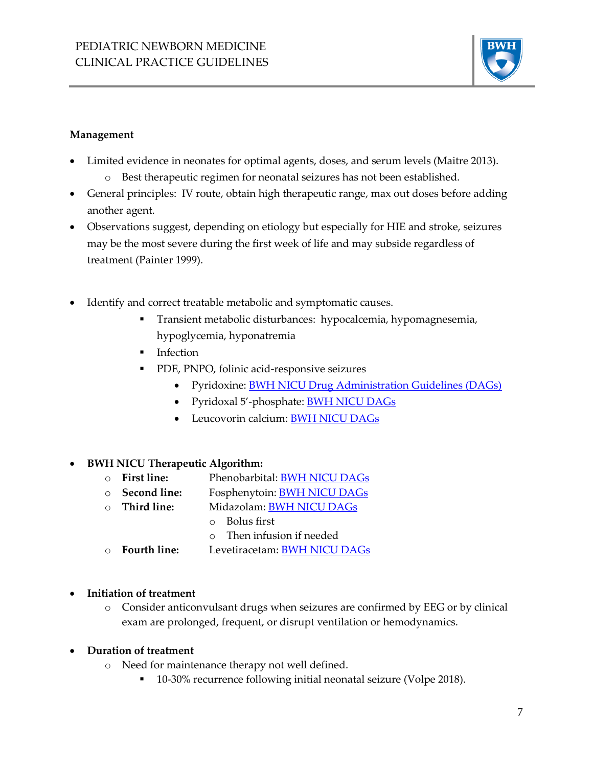

#### **Management**

- Limited evidence in neonates for optimal agents, doses, and serum levels (Maitre 2013).
	- o Best therapeutic regimen for neonatal seizures has not been established.
- General principles: IV route, obtain high therapeutic range, max out doses before adding another agent.
- Observations suggest, depending on etiology but especially for HIE and stroke, seizures may be the most severe during the first week of life and may subside regardless of treatment (Painter 1999).
- Identify and correct treatable metabolic and symptomatic causes.
	- Transient metabolic disturbances: hypocalcemia, hypomagnesemia, hypoglycemia, hyponatremia
	- **·** Infection
	- PDE, PNPO, folinic acid-responsive seizures
		- Pyridoxine: [BWH NICU Drug Administration Guidelines \(DAGs\)](http://www.bwhpikenotes.org/policies/departments/NICU/drug_admin/default.aspx)
		- Pyridoxal 5'-phosphate: [BWH NICU DAGs](http://www.bwhpikenotes.org/policies/departments/NICU/drug_admin/default.aspx)
		- Leucovorin calcium: [BWH NICU DAGs](http://www.bwhpikenotes.org/policies/departments/NICU/drug_admin/default.aspx)

## • **BWH NICU Therapeutic Algorithm:**

- o **First line:** Phenobarbital[: BWH NICU DAGs](http://www.bwhpikenotes.org/policies/departments/NICU/drug_admin/default.aspx)
- o **Second line:** Fosphenytoin: [BWH NICU DAGs](http://www.bwhpikenotes.org/policies/departments/NICU/drug_admin/default.aspx)
- o **Third line:** Midazolam: [BWH NICU DAGs](http://www.bwhpikenotes.org/policies/departments/NICU/drug_admin/default.aspx)
	- o Bolus first
		- o Then infusion if needed
- o **Fourth line:** Levetiracetam: [BWH NICU DAGs](http://www.bwhpikenotes.org/policies/departments/NICU/drug_admin/default.aspx)
- **Initiation of treatment**
	- o Consider anticonvulsant drugs when seizures are confirmed by EEG or by clinical exam are prolonged, frequent, or disrupt ventilation or hemodynamics.

## • **Duration of treatment**

- o Need for maintenance therapy not well defined.
	- 10-30% recurrence following initial neonatal seizure (Volpe 2018).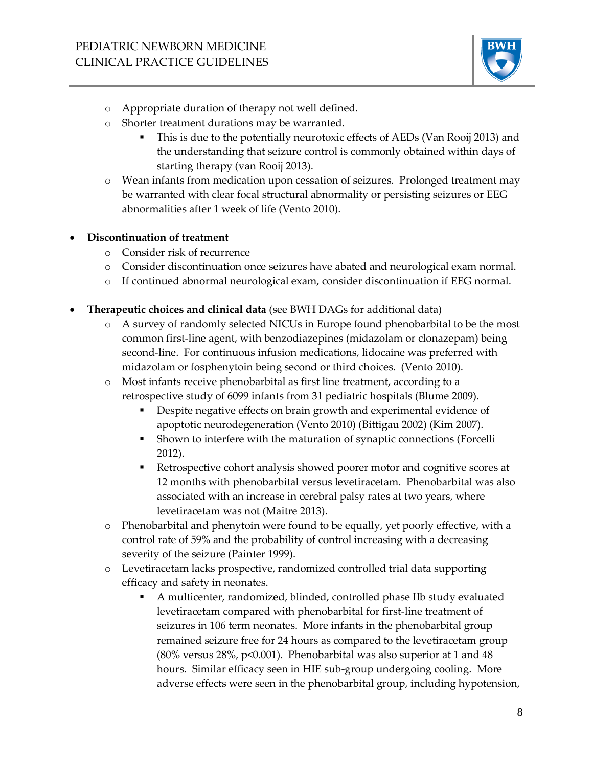

- o Appropriate duration of therapy not well defined.
- o Shorter treatment durations may be warranted.
	- This is due to the potentially neurotoxic effects of AEDs (Van Rooij 2013) and the understanding that seizure control is commonly obtained within days of starting therapy (van Rooij 2013).
- o Wean infants from medication upon cessation of seizures. Prolonged treatment may be warranted with clear focal structural abnormality or persisting seizures or EEG abnormalities after 1 week of life (Vento 2010).

#### • **Discontinuation of treatment**

- o Consider risk of recurrence
- o Consider discontinuation once seizures have abated and neurological exam normal.
- o If continued abnormal neurological exam, consider discontinuation if EEG normal.
- **Therapeutic choices and clinical data** (see BWH DAGs for additional data)
	- o A survey of randomly selected NICUs in Europe found phenobarbital to be the most common first-line agent, with benzodiazepines (midazolam or clonazepam) being second-line. For continuous infusion medications, lidocaine was preferred with midazolam or fosphenytoin being second or third choices. (Vento 2010).
	- o Most infants receive phenobarbital as first line treatment, according to a retrospective study of 6099 infants from 31 pediatric hospitals (Blume 2009).
		- Despite negative effects on brain growth and experimental evidence of apoptotic neurodegeneration (Vento 2010) (Bittigau 2002) (Kim 2007).
		- Shown to interfere with the maturation of synaptic connections (Forcelli 2012).
		- Retrospective cohort analysis showed poorer motor and cognitive scores at 12 months with phenobarbital versus levetiracetam. Phenobarbital was also associated with an increase in cerebral palsy rates at two years, where levetiracetam was not (Maitre 2013).
	- o Phenobarbital and phenytoin were found to be equally, yet poorly effective, with a control rate of 59% and the probability of control increasing with a decreasing severity of the seizure (Painter 1999).
	- o Levetiracetam lacks prospective, randomized controlled trial data supporting efficacy and safety in neonates.
		- A multicenter, randomized, blinded, controlled phase IIb study evaluated levetiracetam compared with phenobarbital for first-line treatment of seizures in 106 term neonates. More infants in the phenobarbital group remained seizure free for 24 hours as compared to the levetiracetam group (80% versus 28%, p<0.001). Phenobarbital was also superior at 1 and 48 hours. Similar efficacy seen in HIE sub-group undergoing cooling. More adverse effects were seen in the phenobarbital group, including hypotension,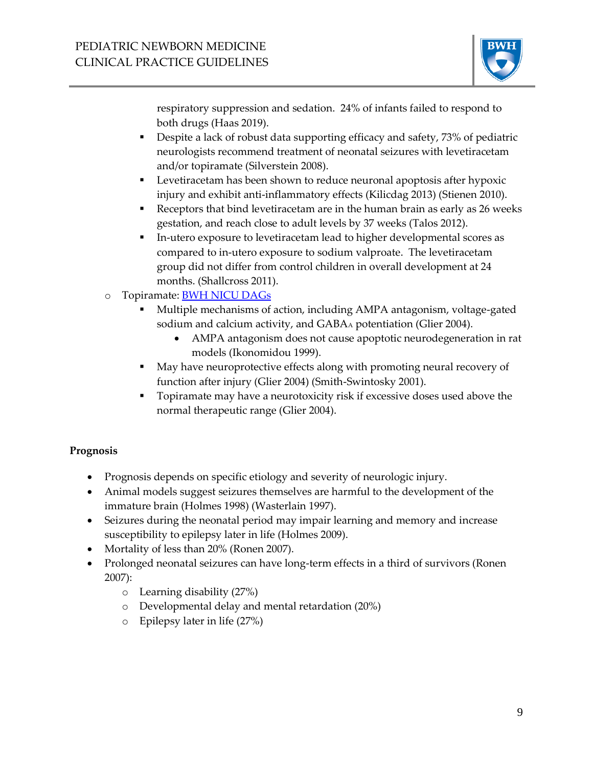

respiratory suppression and sedation. 24% of infants failed to respond to both drugs (Haas 2019).

- Despite a lack of robust data supporting efficacy and safety, 73% of pediatric neurologists recommend treatment of neonatal seizures with levetiracetam and/or topiramate (Silverstein 2008).
- Levetiracetam has been shown to reduce neuronal apoptosis after hypoxic injury and exhibit anti-inflammatory effects (Kilicdag 2013) (Stienen 2010).
- **•** Receptors that bind levetiracetam are in the human brain as early as 26 weeks gestation, and reach close to adult levels by 37 weeks (Talos 2012).
- In-utero exposure to levetiracetam lead to higher developmental scores as compared to in-utero exposure to sodium valproate. The levetiracetam group did not differ from control children in overall development at 24 months. (Shallcross 2011).
- o Topiramate: [BWH NICU DAGs](http://www.bwhpikenotes.org/policies/departments/NICU/drug_admin/default.aspx)
	- Multiple mechanisms of action, including AMPA antagonism, voltage-gated sodium and calcium activity, and GABAA potentiation (Glier 2004).
		- AMPA antagonism does not cause apoptotic neurodegeneration in rat models (Ikonomidou 1999).
	- May have neuroprotective effects along with promoting neural recovery of function after injury (Glier 2004) (Smith-Swintosky 2001).
	- **•** Topiramate may have a neurotoxicity risk if excessive doses used above the normal therapeutic range (Glier 2004).

## **Prognosis**

- Prognosis depends on specific etiology and severity of neurologic injury.
- Animal models suggest seizures themselves are harmful to the development of the immature brain (Holmes 1998) (Wasterlain 1997).
- Seizures during the neonatal period may impair learning and memory and increase susceptibility to epilepsy later in life (Holmes 2009).
- Mortality of less than 20% (Ronen 2007).
- Prolonged neonatal seizures can have long-term effects in a third of survivors (Ronen 2007):
	- o Learning disability (27%)
	- o Developmental delay and mental retardation (20%)
	- o Epilepsy later in life (27%)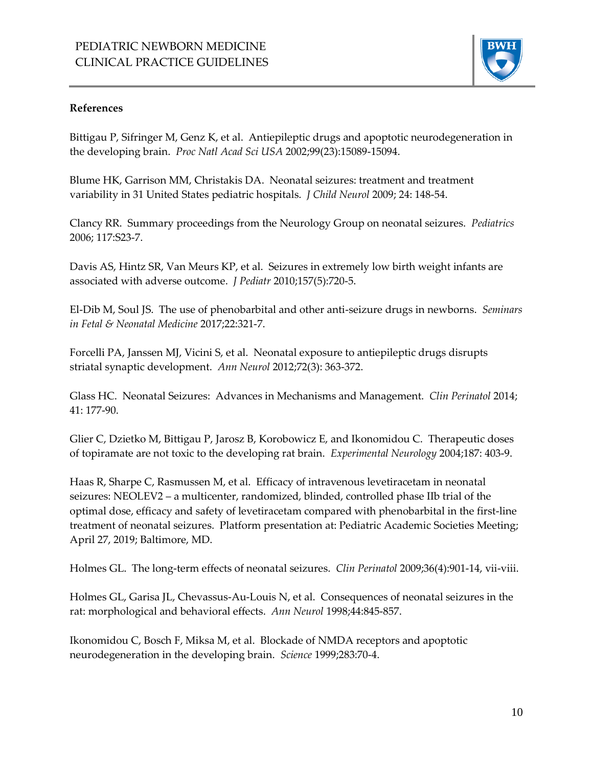

#### **References**

Bittigau P, Sifringer M, Genz K, et al. Antiepileptic drugs and apoptotic neurodegeneration in the developing brain. *Proc Natl Acad Sci USA* 2002;99(23):15089-15094.

Blume HK, Garrison MM, Christakis DA. Neonatal seizures: treatment and treatment variability in 31 United States pediatric hospitals. *J Child Neurol* 2009; 24: 148-54.

Clancy RR. Summary proceedings from the Neurology Group on neonatal seizures. *Pediatrics*  2006; 117:S23-7.

Davis AS, Hintz SR, Van Meurs KP, et al. Seizures in extremely low birth weight infants are associated with adverse outcome. *J Pediatr* 2010;157(5):720-5.

El-Dib M, Soul JS. The use of phenobarbital and other anti-seizure drugs in newborns. *Seminars in Fetal & Neonatal Medicine* 2017;22:321-7.

Forcelli PA, Janssen MJ, Vicini S, et al. Neonatal exposure to antiepileptic drugs disrupts striatal synaptic development. *Ann Neurol* 2012;72(3): 363-372.

Glass HC. Neonatal Seizures: Advances in Mechanisms and Management. *Clin Perinatol* 2014; 41: 177-90.

Glier C, Dzietko M, Bittigau P, Jarosz B, Korobowicz E, and Ikonomidou C. Therapeutic doses of topiramate are not toxic to the developing rat brain. *Experimental Neurology* 2004;187: 403-9.

Haas R, Sharpe C, Rasmussen M, et al. Efficacy of intravenous levetiracetam in neonatal seizures: NEOLEV2 – a multicenter, randomized, blinded, controlled phase IIb trial of the optimal dose, efficacy and safety of levetiracetam compared with phenobarbital in the first-line treatment of neonatal seizures. Platform presentation at: Pediatric Academic Societies Meeting; April 27, 2019; Baltimore, MD.

Holmes GL. The long-term effects of neonatal seizures. *Clin Perinatol* 2009;36(4):901-14, vii-viii.

Holmes GL, Garisa JL, Chevassus-Au-Louis N, et al. Consequences of neonatal seizures in the rat: morphological and behavioral effects. *Ann Neurol* 1998;44:845-857.

Ikonomidou C, Bosch F, Miksa M, et al. Blockade of NMDA receptors and apoptotic neurodegeneration in the developing brain. *Science* 1999;283:70-4.